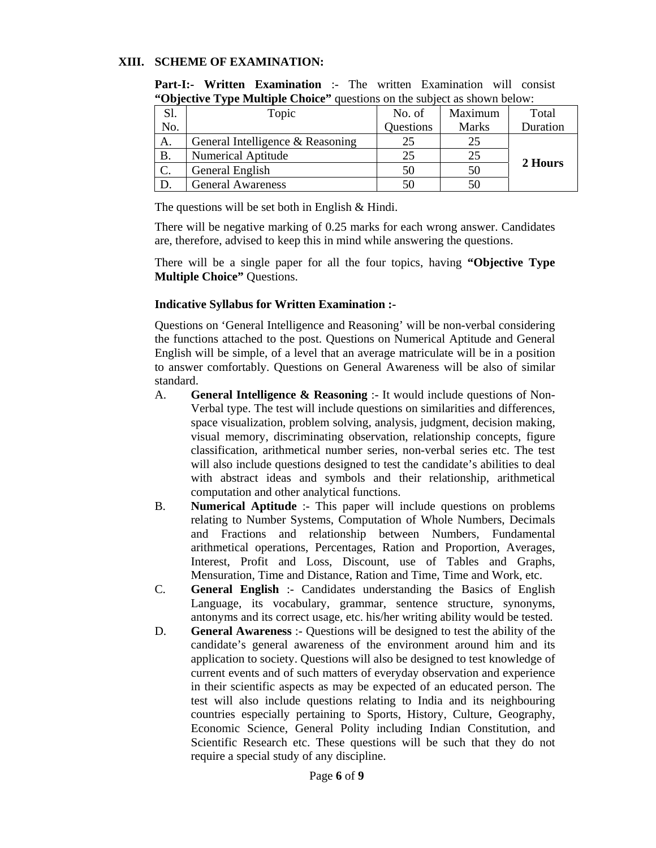#### **XIII. SCHEME OF EXAMINATION:**

| Objective Type Manaphe Choice<br>questions on the subject as shown below. |                                  |           |              |          |
|---------------------------------------------------------------------------|----------------------------------|-----------|--------------|----------|
| Sl.                                                                       | Topic                            | No. of    | Maximum      | Total    |
| No.                                                                       |                                  | Questions | <b>Marks</b> | Duration |
| А.                                                                        | General Intelligence & Reasoning |           | 25           |          |
| Β.                                                                        | <b>Numerical Aptitude</b>        | 25        | 25           | 2 Hours  |
|                                                                           | General English                  | 50        | 50           |          |
|                                                                           | <b>General Awareness</b>         | 50        | 50           |          |

**Part-I:- Written Examination** :- The written Examination will consist **"Objective Type Multiple Choice"** questions on the subject as shown below:

The questions will be set both in English & Hindi.

There will be negative marking of 0.25 marks for each wrong answer. Candidates are, therefore, advised to keep this in mind while answering the questions.

There will be a single paper for all the four topics, having **"Objective Type Multiple Choice"** Questions.

#### **Indicative Syllabus for Written Examination :-**

Questions on 'General Intelligence and Reasoning' will be non-verbal considering the functions attached to the post. Questions on Numerical Aptitude and General English will be simple, of a level that an average matriculate will be in a position to answer comfortably. Questions on General Awareness will be also of similar standard.

- A. **General Intelligence & Reasoning** :- It would include questions of Non-Verbal type. The test will include questions on similarities and differences, space visualization, problem solving, analysis, judgment, decision making, visual memory, discriminating observation, relationship concepts, figure classification, arithmetical number series, non-verbal series etc. The test will also include questions designed to test the candidate's abilities to deal with abstract ideas and symbols and their relationship, arithmetical computation and other analytical functions.
- B. **Numerical Aptitude** :- This paper will include questions on problems relating to Number Systems, Computation of Whole Numbers, Decimals and Fractions and relationship between Numbers, Fundamental arithmetical operations, Percentages, Ration and Proportion, Averages, Interest, Profit and Loss, Discount, use of Tables and Graphs, Mensuration, Time and Distance, Ration and Time, Time and Work, etc.
- C. **General English** :- Candidates understanding the Basics of English Language, its vocabulary, grammar, sentence structure, synonyms, antonyms and its correct usage, etc. his/her writing ability would be tested.
- D. **General Awareness** :- Questions will be designed to test the ability of the candidate's general awareness of the environment around him and its application to society. Questions will also be designed to test knowledge of current events and of such matters of everyday observation and experience in their scientific aspects as may be expected of an educated person. The test will also include questions relating to India and its neighbouring countries especially pertaining to Sports, History, Culture, Geography, Economic Science, General Polity including Indian Constitution, and Scientific Research etc. These questions will be such that they do not require a special study of any discipline.